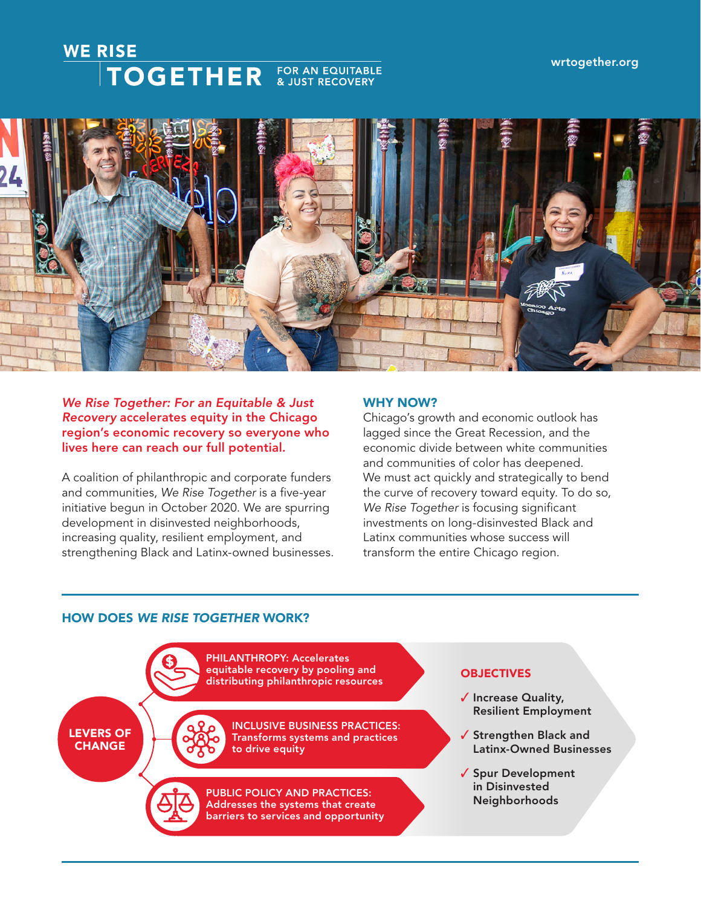# **WE RISE TOGETHER** FOR AN EQUITABLE



## *We Rise Together: For an Equitable & Just Recovery* accelerates equity in the Chicago region's economic recovery so everyone who lives here can reach our full potential.

A coalition of philanthropic and corporate funders and communities, *We Rise Together* is a five-year initiative begun in October 2020. We are spurring development in disinvested neighborhoods, increasing quality, resilient employment, and strengthening Black and Latinx-owned businesses.

## WHY NOW?

Chicago's growth and economic outlook has lagged since the Great Recession, and the economic divide between white communities and communities of color has deepened. We must act quickly and strategically to bend the curve of recovery toward equity. To do so, *We Rise Together* is focusing significant investments on long-disinvested Black and Latinx communities whose success will transform the entire Chicago region.

# HOW DOES *WE RISE TOGETHER* WORK?

PHILANTHROPY: Accelerates equitable recovery by pooling and distributing philanthropic resources

LEVERS OF **CHANGE** 



INCLUSIVE BUSINESS PRACTICES: Transforms systems and practices to drive equity

PUBLIC POLICY AND PRACTICES: Addresses the systems that create barriers to services and opportunity

## **OBJECTIVES**

- ✓ Increase Quality, Resilient Employment
- ✓ Strengthen Black and Latinx-Owned Businesses
- ✓ Spur Development in Disinvested Neighborhoods